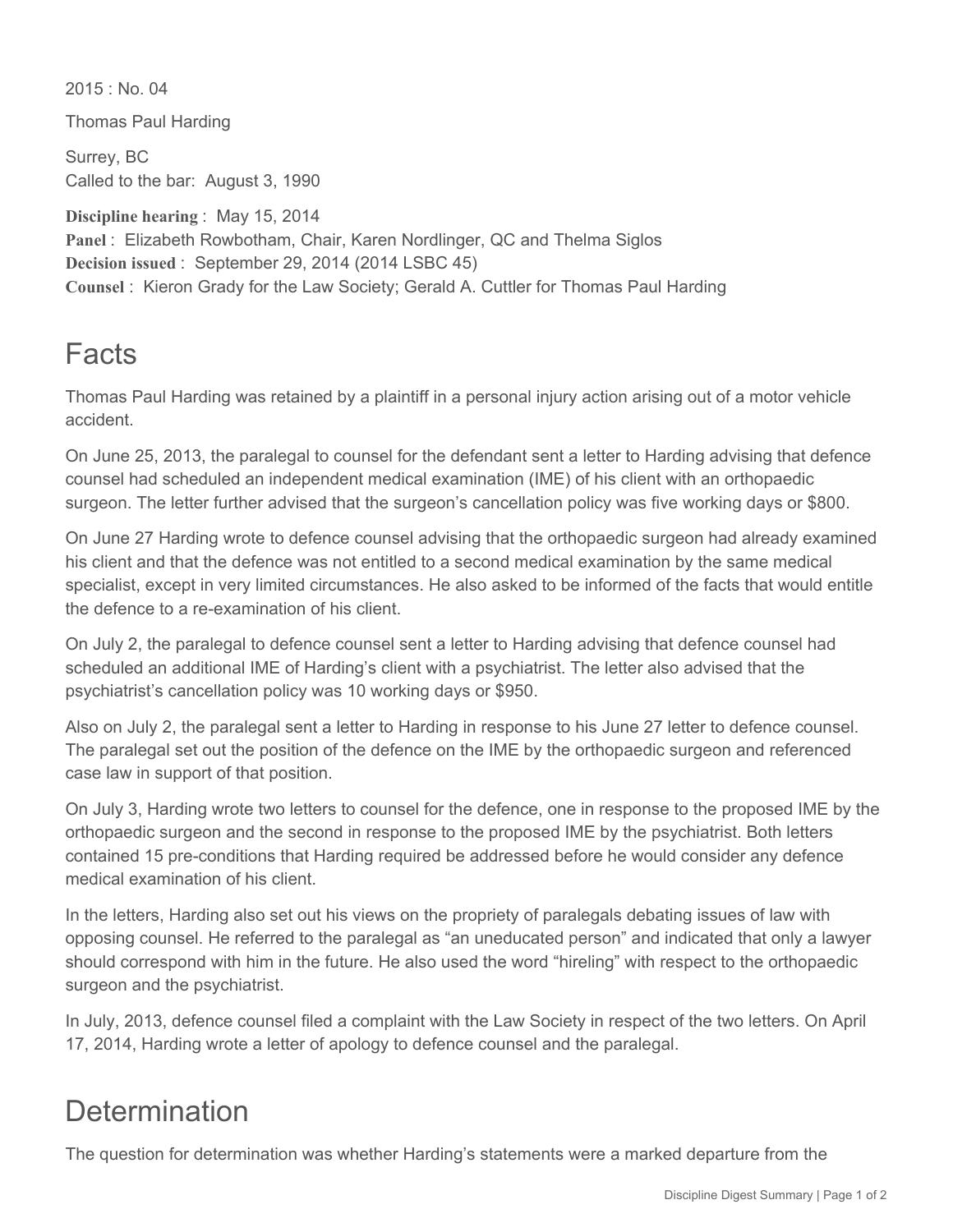$2015 \cdot$  No. 04 Thomas Paul Harding Surrey, BC Called to the bar: August 3, 1990 **Discipline hearing** : May 15, 2014 **Panel** : Elizabeth Rowbotham, Chair, Karen Nordlinger, QC and Thelma Siglos **Decision issued** : September 29, 2014 (2014 LSBC 45) **Counsel** : Kieron Grady for the Law Society; Gerald A. Cuttler for Thomas Paul Harding

## Facts

Thomas Paul Harding was retained by a plaintiff in a personal injury action arising out of a motor vehicle accident.

On June 25, 2013, the paralegal to counsel for the defendant sent a letter to Harding advising that defence counsel had scheduled an independent medical examination (IME) of his client with an orthopaedic surgeon. The letter further advised that the surgeon's cancellation policy was five working days or \$800.

On June 27 Harding wrote to defence counsel advising that the orthopaedic surgeon had already examined his client and that the defence was not entitled to a second medical examination by the same medical specialist, except in very limited circumstances. He also asked to be informed of the facts that would entitle the defence to a re-examination of his client.

On July 2, the paralegal to defence counsel sent a letter to Harding advising that defence counsel had scheduled an additional IME of Harding's client with a psychiatrist. The letter also advised that the psychiatrist's cancellation policy was 10 working days or \$950.

Also on July 2, the paralegal sent a letter to Harding in response to his June 27 letter to defence counsel. The paralegal set out the position of the defence on the IME by the orthopaedic surgeon and referenced case law in support of that position.

On July 3, Harding wrote two letters to counsel for the defence, one in response to the proposed IME by the orthopaedic surgeon and the second in response to the proposed IME by the psychiatrist. Both letters contained 15 pre-conditions that Harding required be addressed before he would consider any defence medical examination of his client.

In the letters, Harding also set out his views on the propriety of paralegals debating issues of law with opposing counsel. He referred to the paralegal as "an uneducated person" and indicated that only a lawyer should correspond with him in the future. He also used the word "hireling" with respect to the orthopaedic surgeon and the psychiatrist.

In July, 2013, defence counsel filed a complaint with the Law Society in respect of the two letters. On April 17, 2014, Harding wrote a letter of apology to defence counsel and the paralegal.

## **Determination**

The question for determination was whether Harding's statements were a marked departure from the